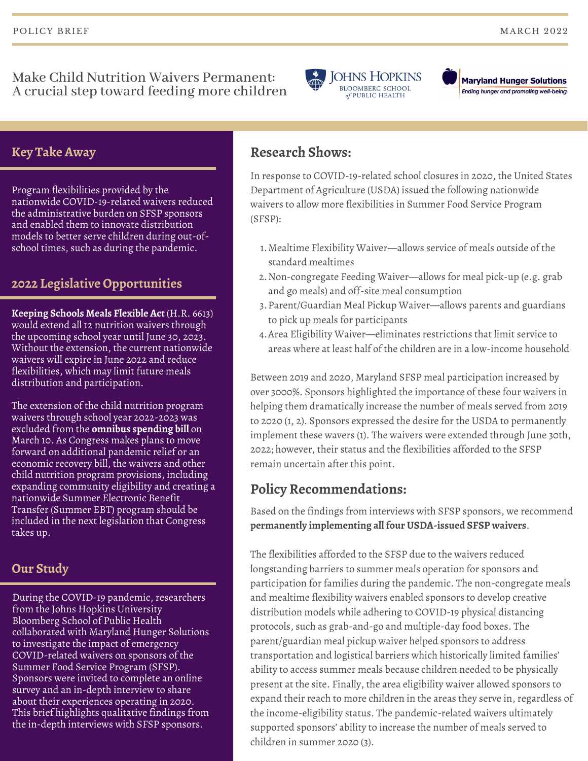Make Child Nutrition Waivers Permanent: A crucial step toward feeding more children



**Maryland Hunger Solutions** Ending hunger and promoting well-being

### **Key Take Away**

Program flexibilities provided by the nationwide COVID-19-related waivers reduced the administrative burden on SFSP sponsors and enabled them to innovate distribution models to better serve children during out-ofschool times, such as during the pandemic.

## **2022 Legislative Opportunities**

**Keeping Schools Meals Flexible Act** (H.R. 6613) would extend all 12 nutrition waivers through the upcoming school year until June 30, 2023. Without the extension, the current nationwide waivers will expire in June 2022 and reduce flexibilities, which may limit future meals distribution and participation.

The extension of the child nutrition program waivers through school year 2022-2023 was excluded from the **omnibus spending bill** on March 10. As Congress makes plans to move forward on additional pandemic relief or an economic recovery bill, the waivers and other child nutrition program provisions, including expanding community eligibility and creating a nationwide Summer Electronic Benefit Transfer (Summer EBT) program should be included in the next legislation that Congress takes up.

## **Our Study**

During the COVID-19 pandemic, researchers from the Johns Hopkins University Bloomberg School of Public Health collaborated with Maryland Hunger Solutions to investigate the impact of emergency COVID-related waivers on sponsors of the Summer Food Service Program (SFSP). Sponsors were invited to complete an online survey and an in-depth interview to share about their experiences operating in 2020. This brief highlights qualitative findings from the in-depth interviews with SFSP sponsors.

# **Research Shows:**

In response to COVID-19-related school closures in 2020, the United States Department of Agriculture (USDA) issued the following nationwide waivers to allow more flexibilities in Summer Food Service Program (SFSP):

- Mealtime Flexibility Waiver—allows service of meals outside of the 1. standard mealtimes
- Non-congregate Feeding Waiver—allows for meal pick-up (e.g. grab 2. and go meals) and off-site meal consumption
- Parent/Guardian Meal Pickup Waiver—allows parents and guardians 3. to pick up meals for participants
- Area Eligibility Waiver—eliminates restrictions that limit service to 4. areas where at least half of the children are in a low-income household

Between 2019 and 2020, Maryland SFSP meal participation increased by over 3000%. Sponsors highlighted the importance of these four waivers in helping them dramatically increase the number of meals served from 2019 to 2020 (1, 2). Sponsors expressed the desire for the USDA to permanently implement these wavers (1). The waivers were extended through June 30th, 2022; however, their status and the flexibilities afforded to the SFSP remain uncertain after this point.

## **Policy Recommendations:**

Based on the findings from interviews with SFSP sponsors, we recommend **permanently implementing all four USDA-issued SFSP waivers**.

The flexibilities afforded to the SFSP due to the waivers reduced longstanding barriers to summer meals operation for sponsors and participation for families during the pandemic. The non-congregate meals and mealtime flexibility waivers enabled sponsors to develop creative distribution models while adhering to COVID-19 physical distancing protocols, such as grab-and-go and multiple-day food boxes. The parent/guardian meal pickup waiver helped sponsors to address transportation and logistical barriers which historically limited families' ability to access summer meals because children needed to be physically present at the site. Finally, the area eligibility waiver allowed sponsors to expand their reach to more children in the areas they serve in, regardless of the income-eligibility status. The pandemic-related waivers ultimately supported sponsors' ability to increase the number of meals served to children in summer 2020 (3).